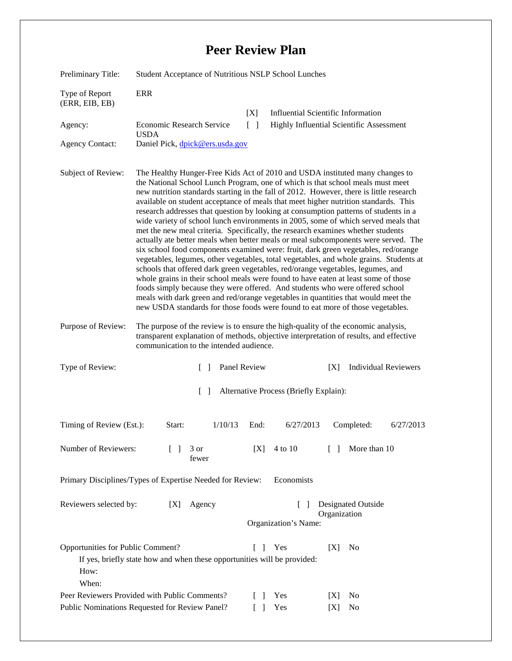## **Peer Review Plan**

| Preliminary Title:                                                                                                                                           | Student Acceptance of Nutritious NSLP School Lunches                                                                                                                                                                                                                                                                                                                                                                                                                                                                                                                                                                                                                                                                                                                                                                                                                                                                                                                                                                                                                                                                                                                                                                                                                                                                    |                           |               |                                                                                              |
|--------------------------------------------------------------------------------------------------------------------------------------------------------------|-------------------------------------------------------------------------------------------------------------------------------------------------------------------------------------------------------------------------------------------------------------------------------------------------------------------------------------------------------------------------------------------------------------------------------------------------------------------------------------------------------------------------------------------------------------------------------------------------------------------------------------------------------------------------------------------------------------------------------------------------------------------------------------------------------------------------------------------------------------------------------------------------------------------------------------------------------------------------------------------------------------------------------------------------------------------------------------------------------------------------------------------------------------------------------------------------------------------------------------------------------------------------------------------------------------------------|---------------------------|---------------|----------------------------------------------------------------------------------------------|
| Type of Report<br>(ERR, EIB, EB)                                                                                                                             | <b>ERR</b>                                                                                                                                                                                                                                                                                                                                                                                                                                                                                                                                                                                                                                                                                                                                                                                                                                                                                                                                                                                                                                                                                                                                                                                                                                                                                                              |                           |               |                                                                                              |
| Agency:                                                                                                                                                      | <b>Economic Research Service</b>                                                                                                                                                                                                                                                                                                                                                                                                                                                                                                                                                                                                                                                                                                                                                                                                                                                                                                                                                                                                                                                                                                                                                                                                                                                                                        | [X]<br>$\lceil \; \rceil$ |               | <b>Influential Scientific Information</b><br><b>Highly Influential Scientific Assessment</b> |
|                                                                                                                                                              | <b>USDA</b>                                                                                                                                                                                                                                                                                                                                                                                                                                                                                                                                                                                                                                                                                                                                                                                                                                                                                                                                                                                                                                                                                                                                                                                                                                                                                                             |                           |               |                                                                                              |
| <b>Agency Contact:</b>                                                                                                                                       | Daniel Pick, dpick@ers.usda.gov                                                                                                                                                                                                                                                                                                                                                                                                                                                                                                                                                                                                                                                                                                                                                                                                                                                                                                                                                                                                                                                                                                                                                                                                                                                                                         |                           |               |                                                                                              |
| Subject of Review:                                                                                                                                           | The Healthy Hunger-Free Kids Act of 2010 and USDA instituted many changes to<br>the National School Lunch Program, one of which is that school meals must meet<br>new nutrition standards starting in the fall of 2012. However, there is little research<br>available on student acceptance of meals that meet higher nutrition standards. This<br>research addresses that question by looking at consumption patterns of students in a<br>wide variety of school lunch environments in 2005, some of which served meals that<br>met the new meal criteria. Specifically, the research examines whether students<br>actually ate better meals when better meals or meal subcomponents were served. The<br>six school food components examined were: fruit, dark green vegetables, red/orange<br>vegetables, legumes, other vegetables, total vegetables, and whole grains. Students at<br>schools that offered dark green vegetables, red/orange vegetables, legumes, and<br>whole grains in their school meals were found to have eaten at least some of those<br>foods simply because they were offered. And students who were offered school<br>meals with dark green and red/orange vegetables in quantities that would meet the<br>new USDA standards for those foods were found to eat more of those vegetables. |                           |               |                                                                                              |
| Purpose of Review:                                                                                                                                           | The purpose of the review is to ensure the high-quality of the economic analysis,<br>transparent explanation of methods, objective interpretation of results, and effective<br>communication to the intended audience.                                                                                                                                                                                                                                                                                                                                                                                                                                                                                                                                                                                                                                                                                                                                                                                                                                                                                                                                                                                                                                                                                                  |                           |               |                                                                                              |
| Type of Review:                                                                                                                                              | Panel Review<br><b>Individual Reviewers</b><br>$\Box$<br>[X]                                                                                                                                                                                                                                                                                                                                                                                                                                                                                                                                                                                                                                                                                                                                                                                                                                                                                                                                                                                                                                                                                                                                                                                                                                                            |                           |               |                                                                                              |
| Alternative Process (Briefly Explain):<br>$\Box$                                                                                                             |                                                                                                                                                                                                                                                                                                                                                                                                                                                                                                                                                                                                                                                                                                                                                                                                                                                                                                                                                                                                                                                                                                                                                                                                                                                                                                                         |                           |               |                                                                                              |
| Timing of Review (Est.):                                                                                                                                     | 1/10/13<br>Start:                                                                                                                                                                                                                                                                                                                                                                                                                                                                                                                                                                                                                                                                                                                                                                                                                                                                                                                                                                                                                                                                                                                                                                                                                                                                                                       | End:                      | 6/27/2013     | Completed:<br>6/27/2013                                                                      |
| Number of Reviewers:                                                                                                                                         | $\Box$<br>3 or<br>fewer                                                                                                                                                                                                                                                                                                                                                                                                                                                                                                                                                                                                                                                                                                                                                                                                                                                                                                                                                                                                                                                                                                                                                                                                                                                                                                 | [X]                       | 4 to 10       | More than 10<br>$\Box$                                                                       |
| Primary Disciplines/Types of Expertise Needed for Review:<br>Economists                                                                                      |                                                                                                                                                                                                                                                                                                                                                                                                                                                                                                                                                                                                                                                                                                                                                                                                                                                                                                                                                                                                                                                                                                                                                                                                                                                                                                                         |                           |               |                                                                                              |
| Reviewers selected by:<br><b>Designated Outside</b><br>Agency<br>[X]<br>$\mathbf{I}$                                                                         |                                                                                                                                                                                                                                                                                                                                                                                                                                                                                                                                                                                                                                                                                                                                                                                                                                                                                                                                                                                                                                                                                                                                                                                                                                                                                                                         |                           |               |                                                                                              |
|                                                                                                                                                              | Organization<br>Organization's Name:                                                                                                                                                                                                                                                                                                                                                                                                                                                                                                                                                                                                                                                                                                                                                                                                                                                                                                                                                                                                                                                                                                                                                                                                                                                                                    |                           |               |                                                                                              |
|                                                                                                                                                              |                                                                                                                                                                                                                                                                                                                                                                                                                                                                                                                                                                                                                                                                                                                                                                                                                                                                                                                                                                                                                                                                                                                                                                                                                                                                                                                         |                           |               |                                                                                              |
| Opportunities for Public Comment?<br>Yes<br>No<br>$\Box$<br>[X]<br>If yes, briefly state how and when these opportunities will be provided:<br>How:<br>When: |                                                                                                                                                                                                                                                                                                                                                                                                                                                                                                                                                                                                                                                                                                                                                                                                                                                                                                                                                                                                                                                                                                                                                                                                                                                                                                                         |                           |               |                                                                                              |
| Peer Reviewers Provided with Public Comments?                                                                                                                |                                                                                                                                                                                                                                                                                                                                                                                                                                                                                                                                                                                                                                                                                                                                                                                                                                                                                                                                                                                                                                                                                                                                                                                                                                                                                                                         |                           | Yes<br>$\Box$ | No<br> X                                                                                     |
| Public Nominations Requested for Review Panel?<br>Yes<br>$\Box$<br>N <sub>0</sub><br>[X]                                                                     |                                                                                                                                                                                                                                                                                                                                                                                                                                                                                                                                                                                                                                                                                                                                                                                                                                                                                                                                                                                                                                                                                                                                                                                                                                                                                                                         |                           |               |                                                                                              |